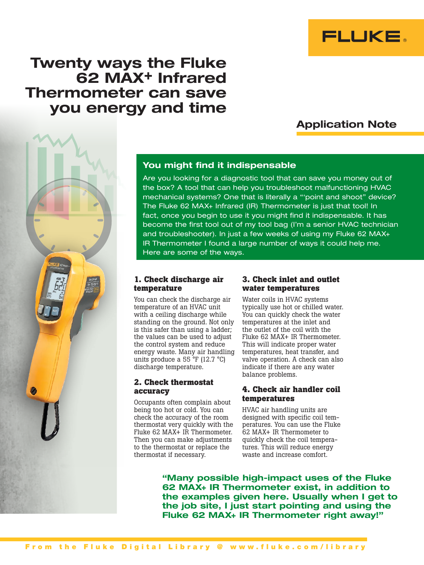

# Twenty ways the Fluke 62 MAX+ Infrared Thermometer can save you energy and time

## Application Note



### You might find it indispensable

Are you looking for a diagnostic tool that can save you money out of the box? A tool that can help you troubleshoot malfunctioning HVAC mechanical systems? One that is literally a "'point and shoot" device? The Fluke 62 MAX+ Infrared (IR) Thermometer is just that tool! In fact, once you begin to use it you might find it indispensable. It has become the first tool out of my tool bag (I'm a senior HVAC technician and troubleshooter). In just a few weeks of using my Fluke 62 MAX+ IR Thermometer I found a large number of ways it could help me. Here are some of the ways.

#### **1. Check discharge air temperature**

You can check the discharge air temperature of an HVAC unit with a ceiling discharge while standing on the ground. Not only is this safer than using a ladder; the values can be used to adjust the control system and reduce energy waste. Many air handling units produce a 55 °F (12.7 °C) discharge temperature.

#### **2. Check thermostat accuracy**

Occupants often complain about being too hot or cold. You can check the accuracy of the room thermostat very quickly with the Fluke 62 MAX+ IR Thermometer. Then you can make adjustments to the thermostat or replace the thermostat if necessary.

#### **3. Check inlet and outlet water temperatures**

Water coils in HVAC systems typically use hot or chilled water. You can quickly check the water temperatures at the inlet and the outlet of the coil with the Fluke 62 MAX+ IR Thermometer. This will indicate proper water temperatures, heat transfer, and valve operation. A check can also indicate if there are any water balance problems.

#### **4. Check air handler coil temperatures**

HVAC air handling units are designed with specific coil temperatures. You can use the Fluke 62 MAX+ IR Thermometer to quickly check the coil temperatures. This will reduce energy waste and increase comfort.

"Many possible high-impact uses of the Fluke 62 MAX+ IR Thermometer exist, in addition to the examples given here. Usually when I get to the job site, I just start pointing and using the Fluke 62 MAX+ IR Thermometer right away!"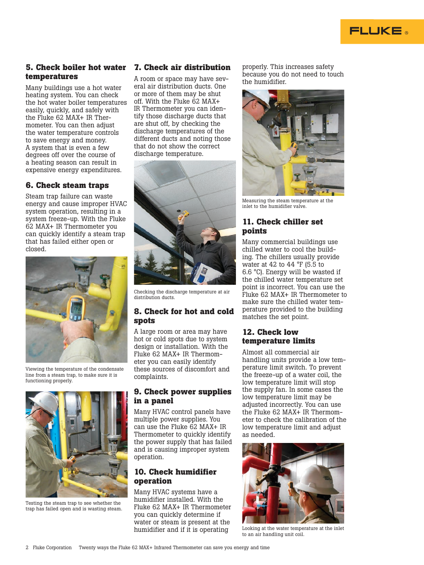

#### **5. Check boiler hot water 7. Check air distribution temperatures**

Many buildings use a hot water heating system. You can check the hot water boiler temperatures easily, quickly, and safely with the Fluke 62 MAX+ IR Thermometer. You can then adjust the water temperature controls to save energy and money. A system that is even a few degrees off over the course of a heating season can result in expensive energy expenditures.

#### **6. Check steam traps**

Steam trap failure can waste energy and cause improper HVAC system operation, resulting in a system freeze-up. With the Fluke 62 MAX+ IR Thermometer you can quickly identify a steam trap that has failed either open or closed.



Viewing the temperature of the condensate line from a steam trap, to make sure it is functioning properly.



Testing the steam trap to see whether the trap has failed open and is wasting steam.

A room or space may have several air distribution ducts. One or more of them may be shut off. With the Fluke 62 MAX+ IR Thermometer you can identify those discharge ducts that are shut off, by checking the discharge temperatures of the different ducts and noting those that do not show the correct discharge temperature.



Checking the discharge temperature at air distribution ducts.

#### **8. Check for hot and cold spots**

A large room or area may have hot or cold spots due to system design or installation. With the Fluke 62 MAX+ IR Thermometer you can easily identify these sources of discomfort and complaints.

#### **9. Check power supplies in a panel**

Many HVAC control panels have multiple power supplies. You can use the Fluke 62 MAX+ IR Thermometer to quickly identify the power supply that has failed and is causing improper system operation.

#### **10. Check humidifier operation**

Many HVAC systems have a humidifier installed. With the Fluke 62 MAX+ IR Thermometer you can quickly determine if water or steam is present at the humidifier and if it is operating

properly. This increases safety because you do not need to touch the humidifier.



Measuring the steam temperature at the inlet to the humidifier valve.

#### **11. Check chiller set points**

Many commercial buildings use chilled water to cool the building. The chillers usually provide water at 42 to 44 °F (5.5 to 6.6 °C). Energy will be wasted if the chilled water temperature set point is incorrect. You can use the Fluke 62 MAX+ IR Thermometer to make sure the chilled water temperature provided to the building matches the set point.

#### **12. Check low temperature limits**

Almost all commercial air handling units provide a low temperature limit switch. To prevent the freeze-up of a water coil, the low temperature limit will stop the supply fan. In some cases the low temperature limit may be adjusted incorrectly. You can use the Fluke 62 MAX+ IR Thermometer to check the calibration of the low temperature limit and adjust as needed.



Looking at the water temperature at the inlet to an air handling unit coil.